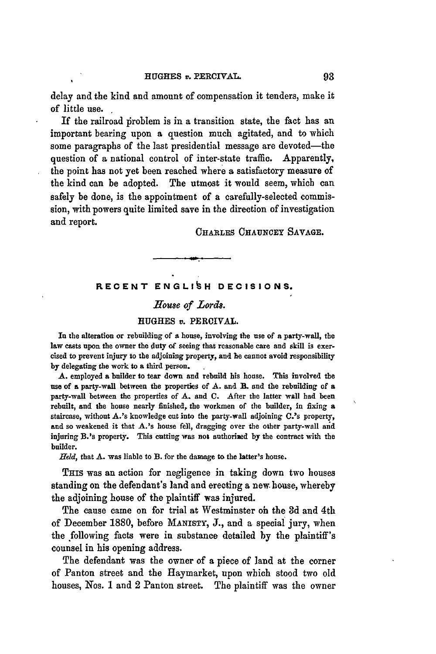delay and the kind and amount of compensation it tenders, make it of little use.

If the railroad problem is in a transition state, the fact has an important bearing upon a question much agitated, and to which some paragraphs of the last presidential message are devoted-the question of a national control of inter-state traffic. Apparently, the point has not yet been reached where a satisfactory measure of the kind can be adopted. The utmost it would seem, which can safely be done, is the appointment of a carefully-selected commission, with powers quite limited save in the direction of investigation<br>and report. CHARLES CHAUNCEY SAVAGE.

## **RECENT ENGLIbH DECISIONS.**

# *Home of Lords.*

### **HUGHES** *v.* **PERCIVAL.**

**In** the alteration or rebuilding of **a** house, involving the use of a party-wall, the law casts upon the owner the duty of seeing that reasonable care and skill is exercised to prevent injury to the adjoining property, and he cannot avoid responsibility **by** delegating the work to a third person.

**A.** employed a builder to tear down and rebuild his house. This involved the use of **a** party-wall between the properties of **A.** and **B. and** the rebuilding of a party-wall between **the** properties of **A.** and **C.** After the latter wall **had** been rebuilt, and the house nearly finished, the workmen of the builder, in fixing a staircase, **without** A.'s knowledge **cut** into the party-wall adjoining C.'s property, and so weakened it that A.'s house fell, dragging over the other party-wall and injuring B.Is property. This cutting was not authorized **by** the contract with the builder.

*Held,* that **A.** was liable to B. for the damage to the latter's house.

THIS was an action for negligence in taking down two houses standing on the defendant's land and erecting a new. house, whereby the adjoining house of the plaintiff was injured.

The cause came on for trial at Westminster oh the **3d** and 4th of December **1880,** before MANISTY, **J.,** and a special jury, when the following facts were in substance detailed **by** the plaintiff's counsel in his opening address.

The defendant was the owner of a piece of land at the corner of Panton street and the Haymarket, upon which stood two old houses, Nos. **1** and 2 Panton street. The plaintiff was the owner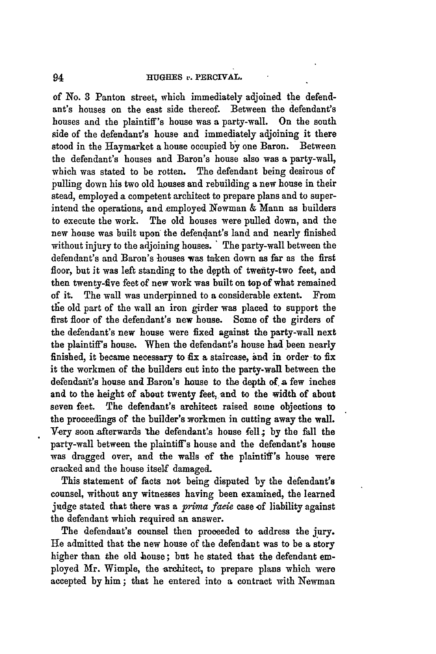of No. **3** Panton street, which immediately adjoined the defendant's houses on the east side thereof. Between the defendant's houses and the plaintiff's house was a party-wall. On the south side of the defendant's house and immediately adjoining it there stood in the Haymarket a house occupied **by** one Baron. Between the defendant's houses and Baron's house also was a party-wall, which was stated to be rotten. The defendant being desirous of pulling down his two old houses and rebuilding a new house in their stead, employed a competent architect to prepare plans and to superintend the operations, and employed Newman & Mann as builders to execute the work. The old houses were pulled down, and the new house was built upon the defendant's land and nearly finished without injury to the adjoining houses. " The party-wall between the defendant's and Baron's houses was taken down as far as the first floor, but it was left standing to the depth of twenity-two feet, and then twenty-five feet of new work was built **on** topof what remained of it. The wall was underpinned to a considerable extent. From the old part of the wall an iron girder was placed to support the first floor of the defendant's new house. Some of the girders of the defendant's new house were fixed against the party-wall next the plaintiff's house. When the defendant's house had been nearly finished, it became necessary to fix a staircase, **and** in order-to fix it the workmen of the builders **cut** into the party-wall between the defendanit's house and Baron's house to the depth **of** a few inches and to the height of about twenty feet. and to the width of about seven feet. The defendant's architect raised some objections to the proceedings of the builder's workmen in cutting away the wall. Very soon afterwards the defendant's house fell; by the fall the party-wall between the plaintiff's house and the defendant's house was dragged over, and the walls of the plaintiff's house were cracked and the house itself damaged.

This statement of facts not being disputed **by** the defendant's counsel, without any witnesses having been examined, the learned judge stated that there was a *prima facie* case of liability against the defendant which required an answer.

The defendant's counsel then proceeded to address the **jury. He** admitted that the new house of the defendant was to be a story higher than the old house; but he stated that the defendant employed Mr. Wimple, the architect, to prepare plans which were accepted by him; that he entered into a contract with Newman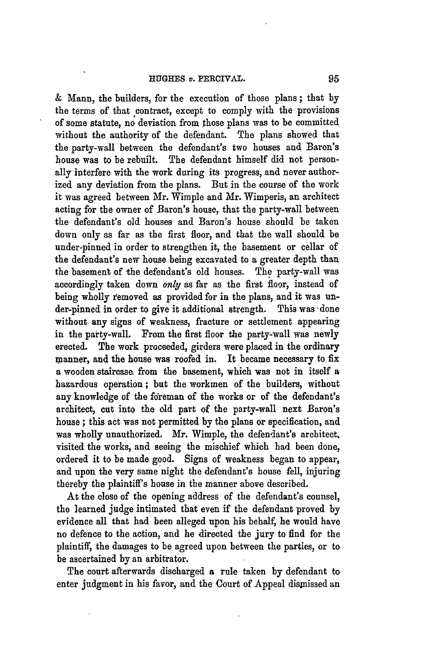& Mann, the builders, for the execution of those plans ; that **by** the terms of that contract, except to comply with the provisions of some statute, no deviation from those plans was to be committed without the authority of the defendant. The plans showed that the party-wall between the defendant's two houses and Baron's house was to be rebuilt. The defendant himself did not personally interfere with the work during its progress, and never authorized any deviation from the plans. But in the course of the work it was agreed between Mr. Wimple and Mr. Wimperis, an architect acting for the owner of Baron's house, that the party-wall between the defendant's old houses and Baron's house should be taken down only as far as the first floor, and that the wall should be under-pinned in order to strengthen it, the basement or cellar of the defendant's new house being excavated to a greater depth than the basement of the defendant's old houses. The party-wall was accordingly taken down *only* as far as the first floor, instead of being wholly removed as provided for in the plans, and it was under-pinned in order to give it additional strength. This was done without any signs of weakness, fracture or settlement appearing in the party-wall. From the first floor the party-wall was newly erected. The work proceeded, girders were placed in the ordinary manner, and the house was roofed in. It became necessary to fix a wooden staircase from the basement, which was not in itself a hazardous operation; but the workmen of the builders, without any knowledge of the foreman of the works or of the defendant's architect, cut into the old part of the party-wall next Baron's house ; this act was not permitted **by** the plans or specification, and was wholly unauthorized. Mr. Wimple, the defendant's architect, visited the works, and seeing the mischief which had been done, ordered it to be made good. Signs of weakness began to appear, and upon the very same night the defendant's house fell, injuring thereby the plaintiff's house in the manner above described.

At the close of the opening address of the defendant's counsel, the learned judge intimated that even if the defendant proved **by** evidence all that had been alleged upon his behalf, he would have no defence to the action, and he directed the jury to find for the plaintiff, the damages to be agreed upon between the parties, or to be ascertained **by** an arbitrator.

The court afterwards discharged a rule taken **by** defendant to enter judgment in his favor, and the Court of Appeal disnissed an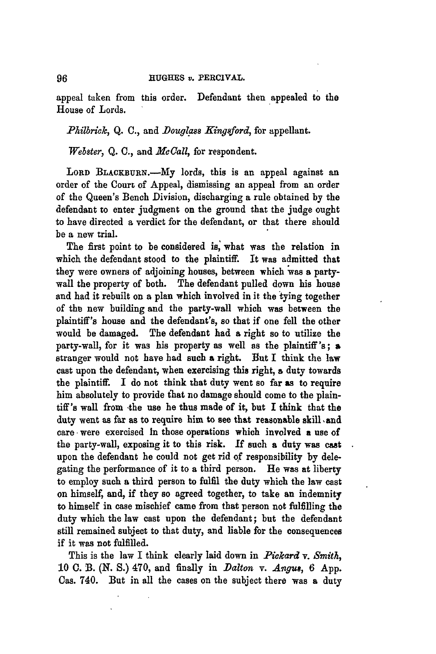appeal taken from this order. Defendant then appealed to the House of Lords.

# *Philbrick, Q. C., and Douglass Kingsford, for appellant.*

*Webster,* **Q. C.,** and *Mc Call,* for respondent.

LORD BLACKBURN.-My lords, this is an appeal against an order of the Court of Appeal, dismissing an appeal from an order of the Queen's Bench Division, discharging a rule obtained **by** the defendant to enter judgment on the ground that the judge ought to have directed a verdict for the defendant, or that there should be a new trial.

The first point to be considered is, what was the relation in which the defendant stood to the plaintiff. It was admitted that they were owners of adjoining houses, between which 'was **a** partywall the property of both. The defendant pulled down his house and had it rebuilt on a plan which involved in it the tying together of the new building and the party-wall which was between the plaintiff's house and the defendant's, so that if one fell the other would be damaged. The defendant had a right so to utilize the party-wall, for it was his property as well as the plaintiff's; a stranger would not have **had** such **a** right. But I think the law cast upon the defendant, when exercising this right, a duty towards the plaintiff. **I** do not think that duty went so far as to require him absolutely to provide that no damage should come to the plaintiff's wall from -the use he thus made of it, but I think that the duty went as far as to require him to see that reasonable skill and care were exercised **In** those operations which involved a use of the party-wall, exposing it to this risk. **If** such **a** duty was cast upon the defendant he could not get rid of responsibility **by** delegating the performance of it to a third person. He was at liberty to employ such a third person to fulfil the duty which the law cast on himself, and, if they so agreed together, to take an indemnity to himself in case mischief came from that person not fulfilling the duty which the law cast upon the defendant; but the defendant still remained subject to that duty, and liable for the consequences if it was not fulfilled.

This is the law I think clearly laid down in *Pickard v. Smith*, 10 C. B. (N. S.) 470, and finally in *Dalton v. Angus*, 6 App. Cas. 740. But in all the cases on the subject there was a duty

96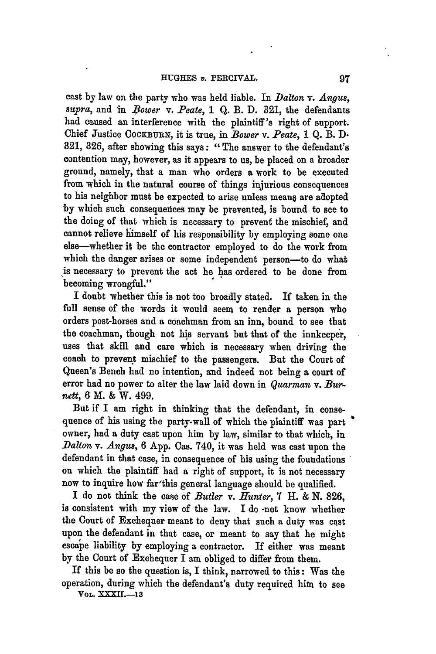cast by law on the party who was held liable. In *Dalton v. Angus,*  $supra$ , and in *Bower v. Peate*, 1 Q. B. D. 321, the defendants had caused an interference with the plaintiff's right of support. Chief Justice COCKBURN, it is true, in *Bower v. Peate*, 1 Q. B. D. **821, 326,** after showing this says: "The answer to the defendant's contention may, however, as it appears to us, be placed on a broader ground, namely, that a man who orders a work to be executed from which in the natural course of things injurious consequences to his neighbor must be expected to arise unless means are adopted by which such consequences may be prevented, is bound to see to the doing of that which is necessary to prevent the mischief, and cannot relieve himself of his responsibility by employing some one else-whether it be the contractor employed to do the work from which the danger arises or some independent person-to do what is necessary to prevent the act he has ordered to be done from becoming wrongful."

I doubt whether this is not too broadly stated. **If** taken in the full sense of the words it would seem to render a person who orders post-horses and a coachman from an inn, bound to see that the coachman, though not his servant but that of the innkeeper, uses that skill and care which is necessary when driving the coach to prevent mischief to the passengers. But the Court of Queen's Bench had no intention, and indeed not being a court of error had no power to alter the law laid down in *Quarman* v. *Burnett,* **6** M. **&** W. **499.**

But if I am right in thinking that the defendant, in consequence of his using the party-wall of which the plaintiff was part owner, had a duty cast upon him **by** law, similar to that which, in *Dalton v. Angus,* **6** App. Cas. 740, it was held was cast upon the defendant in that case, in consequence of his using the foundations on which the plaintiff had a right of support, it is not necessary now to inquire how far'this general language should be qualified.

I do not think the case of *Butler v. Hunter,* **7 H.** & **N. 826,** is consistent with my view of the law. I do **-not** know whether the Court of Exchequer meant to deny that such a duty was cast upon the defendant in that case, or meant to say that he might escape liability **by** employing a contractor. If either was meant **by** the Court of Exchequer I am obliged to differ from them.

If this be so the question is, I think, narrowed to this: Was the operation, during which the defendant's duty required hita to see **VOL. XXXI1-13**

97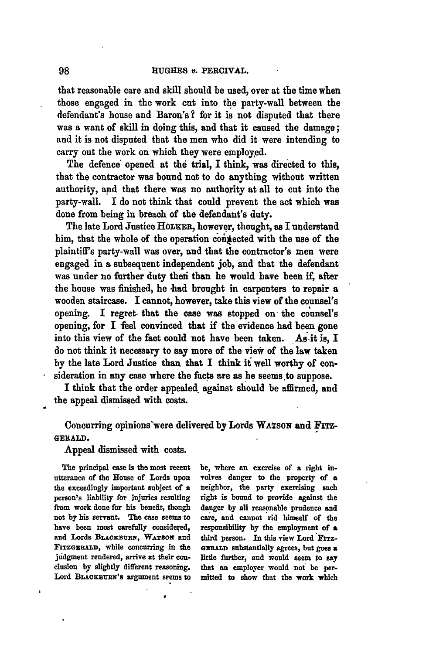that reasonable care and skill should be used, over at the time when those engaged in the work cut into the party-wall between the defendant's house and Baron's? for it **is** not disputed that there was a want of skill in doing this, and that it caused the damage; and it is not disputed that the men who did it were intending to carry out the work on which they were employed.

The defence opened at the trial, I think, was directed to this, that the contractor was bound not to do anything without written authority, **and** that there was no authority at **all** to cut into the party-wall. I do not think that could prevent the act which was done from being in breach of the defendant's duty.

The late Lord Justice HOLKER, however, thought, as I understand him, that the whole of the operation connected with the use of the plaintiffs party-wall was over, and that the contractor's men were engaged in a subsequent independent **job,** and that the defendant was under no further duty thei than he would have been **it** after the house was finished, he **-had** brought in carpenters **to** repair **a** wooden staircase. **I** cannot, however, take this view of the counsel's opening. **I** regret, that the case was stopped on the counsel's opening, for **I** feel convinced that if the evidence had been gone into this view of the fact could not have been taken. As.it is, I do not think it necessary to say more of the view of the law taken **by** the late Lord Justice than that I think **it** well worthy of consideration in any case where the facts are as he seems to suppose.

I think that the order appealed against should be affirmed, and the appeal dismissed with costs.

# Concurring opinions'were delivered **by** Lords **WATSoN** and FITZ-**GERALD.**

Appeal dismissed with costs.

The principal case is the most recent be, where an exercise of **a** right inutterance of the House of Lords upon volves danger to the property of **a** the exceedingly important subject of **a** neighbor, the party exercising such person's liability for injuries resulting right is bound to provide against the from work done for his benefit, though danger **by all** reasonable prudence and not **by** his servant. The case seems to care, and cannot rid himself of the have been most carefully considered, responsibility **by** the employment of **a** and Lords BLACKBURN, WATSON and third person. In this view Lord Firz-EITZGERA **D,** while concurring in the **oGRALD** substantially agrees, but goes a judgment rendered, arrive at their con- little further, and would seem to say clusiou **by** slightly different reasoning- that an employer would not be per-Lord BLACKBURN's argument seems to mitted to show that the work which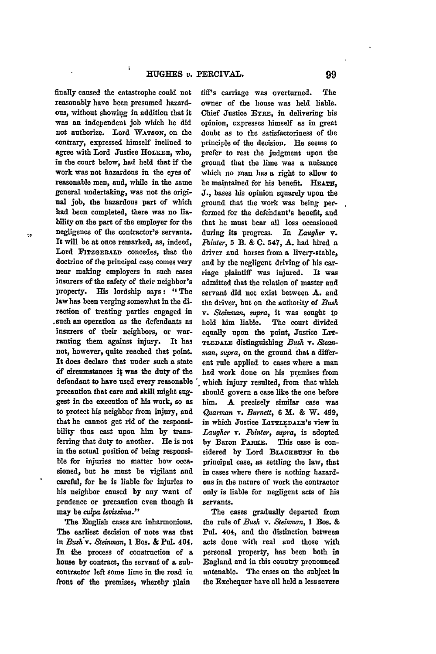finally caused the catastrophe could not reasonably have been presumed hazard**ous,** without showing in addition that it was an independent **job** which he did not authorize. Lord **WATSON, on** the contrary, expressed himself inclined to agree with Lord Justice HOLEER, who, in the court below, had held that if the work was not hazardous in the eyes of reasonable men, and, while in the same general undertaking, was not the original job, the hazardous part of which had been completed, there was no liability on the part of the employer for the negligence of the contractor's servants. It will be at once remarked, as, indeed, Lord FITZGERALD concedes, that the doctrine of the principal case comes very near making employers in such cases insurers of the safety of their neighbor's property. His lordship says: "The law has been verging somewhat in the direction of treating parties engaged in .such an operation as the defendants as insurers of their neighbors, or warranting them against injury. It has not, however, quite reached that point. It does declare that under such a state **of** circumstances it was the duty of the defendant to have used every reasonable precaution that care and skill might **sug**gest in the execution of his work, so as to protect his neighbor from injury, and that he cannot get rid of the responsibility thus cast upon him **by** transferring that duty to another. He is not in the actual position of being responsible for injuries no matter how occasioned, but he must be vigilant and **careful,** for he is liable for injuries to his neighbor caused **by** any want of prudence or precaution even though it may be *culpa levissima.*"

٠,

í,

The English cases are inharmonious. The earliest decision of note was that in *Bush* v. *Steinman,* **I** Bos. & **Pul. 404.** In the process of construction of a **house by** contract, the servant of a subcontractor left some lime in the road in front of the premises, whereby plain

tiff's carriage was overturned. The owner of the house was held liable. Chief Justice EYRE, in delivering his opinion, expresses himself as in great doubt as to the satisfactoriness of the principle of the decision. He seems to prefer to rest the judgment upon the ground that the lime was a nuisance which no man has a right to allow to be maintained for his benefit. HEATH, J., bases his opinion squarely upon the ground that the work was being performed for the defendant's benefit, and that he must bear all loss occasioned during its progress. In *Laugher v. Pointer,* **5** B. **& C.** 547, *A.* had hired a driver and horses from a livery-stable, and **by** the negligent driving of his carriage plaintiff was injured. It was admitted that the relation of master and servant did not exist between **A.** and the driver, but on the authority of *Bush v. Steinman, supra,* it was sought to hold him liable. The court divided equally upon the point, Justice LIT-**TLEDALE** distinguishing *Bush* **v.** *Steanman, supra,* on the ground that a different rule applied to cases where **a** man had work done on his premises from which injury resulted, from that which should govern a case like the one before him. **A** precisely similar case was Quarman v. *Burnett,* **6 M. & W. 499,** in which Justice **LITTLEDALE'S** view in *Laugher v. Pointer, supra,* is adopted by Baron PARKE. This case is considered **by** Lord **BLACKBURx** in the principal case, as settling the law, that in cases where there is nothing hazardous in the nature of work the contractor only is liable for negligent acts of his servants.

The cases gradually departed from the rule of *Bush* v. *&einman,* **I** Boa. & **Pal.** 404, and the distinction between acts done with real and those with personal property, has been both in England and in this country pronounced untenable. The cases on the subject in the Exchequer have all held a less severe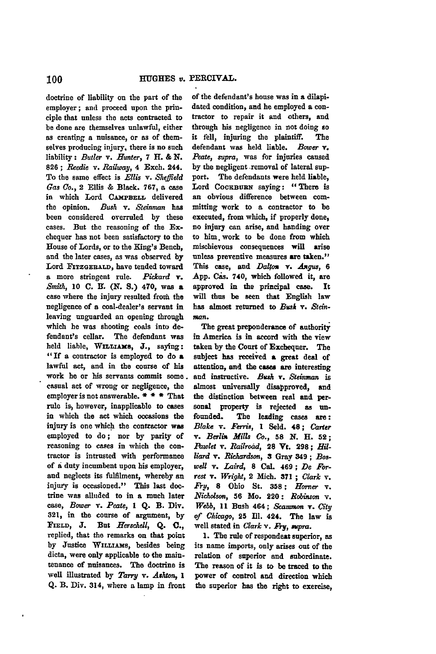doctrine of liability on the part of the employer; and proceed upon the **prin**ciple that unless the acts contracted to be done are themselves unlawful, either as creating a nuisance, or as of themselves producing injury, there is no such liability: *Butler v. Hunter,* **7** H. **&** *N.* **826;** *Reedie v. Railway,* **4** Exch. 244. To the same effect is *Ellis* v. Sheffield *Gas* Co., 2 Ellis **&** Black. **767,** a case in which Lord CAMPBELL delivered the opinion. *Bush* v. *Steinman* has been considered overruled **by** these cases. But the reasoning of the Exchequer has not been satisfactory to the House of Lords, or to the King's Bench, and the later cases, as was observed **by** Lord **FITZGERALD,** have tended toward **a** more stringent rule. *Pickard* **r.** *Smith,* **10 C.** I3. **(N. S.)** 470, was a case where the injury resulted from the negligence of a coal-dealer's servant in leaving unguarded an opening through which he was shooting coals into defendant's cellar. The defendant was held liable, WILLIAMS, J., saying: **"If** a contractor is employed to do **a** lawful act, and in the course of his work he or his servants commit some. casual act of wrong or negligence, the employer is not answerable. **\* \* \*** That rule *is,* however, inapplicable to cases in which the act which occasions the injury is one which the contractor was employed to **do;** nor **by** parity of reasoning to cases in which the contractor is intrusted with performance of **a** duty incumbent upon his employer, and neglects its fulfilment, whereby an injury is occasioned." This last doctrine was alluded to in a much later case, *Bower v. Peate,* **I Q.** B. Div. **321,** in the **course** of argument, **by FIELD, J.** But *Herschell,* **Q.** *C.,* replied, that the remarks on that point by Justice WILLIAMS, besides being dicta, were only applicable to the maintenance of nuisances. The doctrine is well illustrated **by** *Tarry v. Ashton, 1* **Q.** B. Div. 314, where a lamp in front

of the defendant's house was in **a** dilapidated condition, and he employed a contractor to repair it and others, and through his negligence in not doing so it fell, injuring the plaintiff. The defendant was held liable. *Bower v. Peate, supra,* was for injuries caused **by** the negligent removal of lateral support. The defendants were held liable, Lord COCKBURN saying: "There is an obvious difference between committing work to a contractor to be executed, from which, if properly done, no injury can arise, and handing over to him, work to be done from which mischievous consequences will **arise** unless preventive measures are taken." This case, and *Da!m v. Asqus,* **6 App.** Cas. 740, which followed it, are approved in the principal case. It will thus be seen that English law has almost returned to *Busk v. Steinman.*

The great preponderance of authority in America is in accord with the view taken **by** the **Court** of Exchequer. The subject has received **a** great deal of attention, and the cases **are** interesting **and** instructive. *Bush* **v.** *Steinma,* is almost universally disapproved, **and** the distinction between real and personal property is rejected as unfounded. The leading cases **are:** *Blake* v. *Ferris,* **I** Seld. **48;** *Carter* v. *Berlin Mills Co.,* **58 N.** H. **52;** *Pawlet* v. *Railroad,* **28 Vt. 298;** *Hilliard v. Richardson, 3* Gray 349; *Boswell v. Laird,* **8** Cal. 469; *De Forrest v. Wright,* 2 Mich. **371;** *Clark* **v.** *Fr,* **8** Ohio St. **358;** *Homer* v. *Nicholson,* **56** Mo. 220: *Robiason v. Webb,* **11** Bush 464; *S&camm a v. City of* Chicago, 25 **11.** 424. The law is well stated in *Clark v. Fry*, supra.

**1.** The rule of respondent superior, as its **name** imports, only arises out of the relation of superior and subordinate. The reason of it is to be traced to the power of control **and** direction which the superior has the right to exercise,